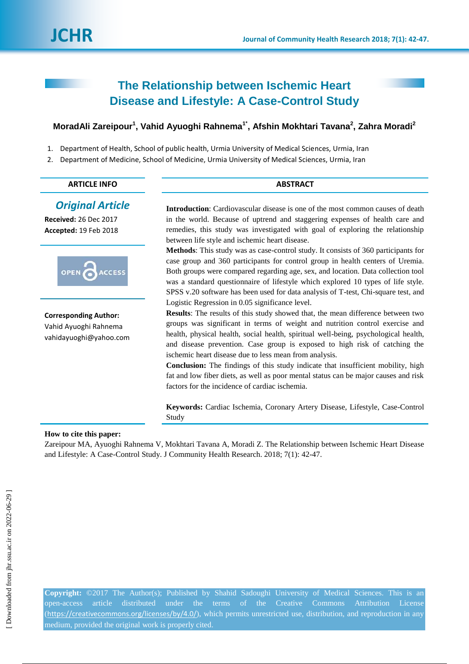# **The Relationship between Ischemic Heart Disease and Lifestyle: A Case-Control Study**

# **MoradAli Zareipour<sup>1</sup> , Vahid Ayuoghi Rahnema1\* , Afshin Mokhtari Tavana<sup>2</sup> , Zahra Moradi<sup>2</sup>**

- 1. Department of Health, School of public health, Urmia University of Medical Sciences, Urmia, Iran
- 2. Department of Medicine, School of Medicine, Urmia University of Medical Sciences, Urmia, Iran

## **ARTICLE INFO ABSTRACT**

# *Original Article*

**Received:** 26 Dec 2017 **Accepted:** 19 Feb 2018



**Corresponding Author:** Vahid Ayuoghi Rahnema vahidayuoghi@yahoo.com **Introduction**: Cardiovascular disease is one of the most common causes of death in the world. Because of uptrend and staggering expenses of health care and remedies, this study was investigated with goal of exploring the relationship between life style and ischemic heart disease.

**Methods**: This study was as case-control study. It consists of 360 participants for case group and 360 participants for control group in health centers of Uremia. Both groups were compared regarding age, sex, and location. Data collection tool was a standard questionnaire of lifestyle which explored 10 types of life style. SPSS v.20 software has been used for data analysis of T-test, Chi-square test, and Logistic Regression in 0.05 significance level.

**Results**: The results of this study showed that, the mean difference between two groups was significant in terms of weight and nutrition control exercise and health, physical health, social health, spiritual well-being, psychological health, and disease prevention. Case group is exposed to high risk of catching the ischemic heart disease due to less mean from analysis.

**Conclusion:** The findings of this study indicate that insufficient mobility, high fat and low fiber diets, as well as poor mental status can be major causes and risk factors for the incidence of cardiac ischemia.

**Keywords:** Cardiac Ischemia, Coronary Artery Disease, Lifestyle, Case-Control Study

#### **How to cite this paper:**

Zareipour MA, Ayuoghi Rahnema V, Mokhtari Tavana A, Moradi Z. The Relationship between Ischemic Heart Disease and Lifestyle: A Case-Control Study. J Community Health Research. 2018; 7(1): 42-47.

**Copyright:** ©2017 The Author(s); Published by Shahid Sadoughi University of Medical Sciences. This is an open-access article distributed under the terms of the Creative Commons Attribution License (<https://creativecommons.org/licenses/by/4.0/>), which permits unrestricted use, distribution, and reproduction in any medium, provided the original work is properly cited.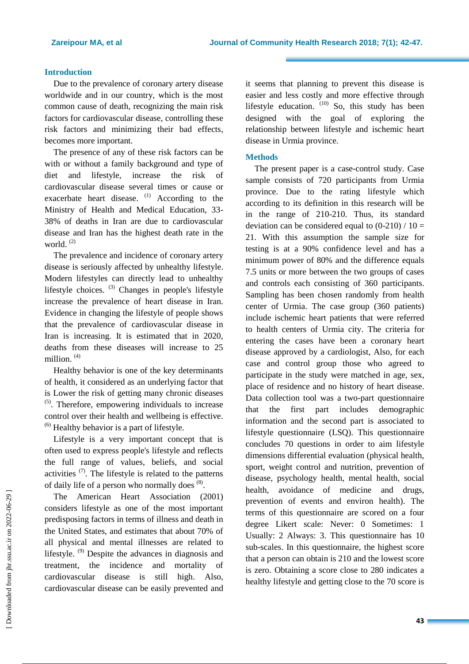#### **Introduction**

Due to the prevalence of coronary artery disease worldwide and in our country, which is the most common cause of death, recognizing the main risk factors for cardiovascular disease, controlling these risk factors and minimizing their bad effects, becomes more important.

The presence of any of these risk factors can be with or without a family background and type of diet and lifestyle, increase the risk of cardiovascular disease several times or cause or exacerbate heart disease. <sup>(1)</sup> According to the Ministry of Health and Medical Education, 33- 38% of deaths in Iran are due to cardiovascular disease and Iran has the highest death rate in the world.<sup>(2)</sup>

The prevalence and incidence of coronary artery disease is seriously affected by unhealthy lifestyle. Modern lifestyles can directly lead to unhealthy lifestyle choices. <sup>(3)</sup> Changes in people's lifestyle increase the prevalence of heart disease in Iran. Evidence in changing the lifestyle of people shows that the prevalence of cardiovascular disease in Iran is increasing. It is estimated that in 2020, deaths from these diseases will increase to 25 million. (4)

Healthy behavior is one of the key determinants of health, it considered as an underlying factor that is Lower the risk of getting many chronic diseases (5) . Therefore, empowering individuals to increase control over their health and wellbeing is effective.  $<sup>(6)</sup>$  Healthy behavior is a part of lifestyle.</sup>

Lifestyle is a very important concept that is often used to express people's lifestyle and reflects the full range of values, beliefs, and social activities  $(7)$ . The lifestyle is related to the patterns of daily life of a person who normally does (8).

The American Heart Association (2001) considers lifestyle as one of the most important predisposing factors in terms of illness and death in the United States, and estimates that about 70% of all physical and mental illnesses are related to lifestyle. (9) Despite the advances in diagnosis and treatment, the incidence and mortality of cardiovascular disease is still high. Also, cardiovascular disease can be easily prevented and it seems that planning to prevent this disease is easier and less costly and more effective through lifestyle education.  $(10)$  So, this study has been designed with the goal of exploring the relationship between lifestyle and ischemic heart disease in Urmia province.

#### **Methods**

The present paper is a case-control study. Case sample consists of 720 participants from Urmia province. Due to the rating lifestyle which according to its definition in this research will be in the range of 210-210. Thus, its standard deviation can be considered equal to  $(0-210) / 10 =$ 21. With this assumption the sample size for testing is at a 90% confidence level and has a minimum power of 80% and the difference equals 7.5 units or more between the two groups of cases and controls each consisting of 360 participants. Sampling has been chosen randomly from health center of Urmia. The case group (360 patients) include ischemic heart patients that were referred to health centers of Urmia city. The criteria for entering the cases have been a coronary heart disease approved by a cardiologist, Also, for each case and control group those who agreed to participate in the study were matched in age, sex, place of residence and no history of heart disease. Data collection tool was a two-part questionnaire that the first part includes demographic information and the second part is associated to lifestyle questionnaire (LSQ). This questionnaire concludes 70 questions in order to aim lifestyle dimensions differential evaluation (physical health, sport, weight control and nutrition, prevention of disease, psychology health, mental health, social health, avoidance of medicine and drugs, prevention of events and environ health). The terms of this questionnaire are scored on a four degree Likert scale: Never: 0 Sometimes: 1 Usually: 2 Always: 3. This questionnaire has 10 sub-scales. In this questionnaire, the highest score that a person can obtain is 210 and the lowest score is zero. Obtaining a score close to 280 indicates a healthy lifestyle and getting close to the 70 score is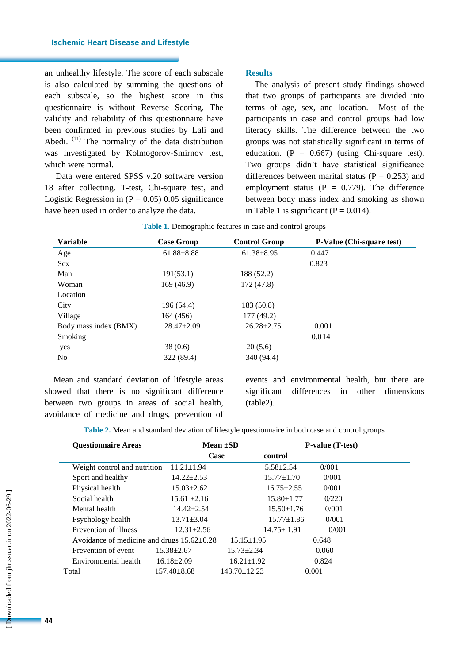an unhealthy lifestyle. The score of each subscale is also calculated by summing the questions of each subscale, so the highest score in this questionnaire is without Reverse Scoring. The validity and reliability of this questionnaire have been confirmed in previous studies by Lali and Abedi.  $(11)$  The normality of the data distribution was investigated by Kolmogorov-Smirnov test, which were normal.

Data were entered SPSS v.20 software version 18 after collecting. T-test, Chi-square test, and Logistic Regression in  $(P = 0.05)$  0.05 significance have been used in order to analyze the data.

#### **Results**

The analysis of present study findings showed that two groups of participants are divided into terms of age, sex, and location. Most of the participants in case and control groups had low literacy skills. The difference between the two groups was not statistically significant in terms of education.  $(P = 0.667)$  (using Chi-square test). Two groups didn't have statistical significance differences between marital status ( $P = 0.253$ ) and employment status ( $P = 0.779$ ). The difference between body mass index and smoking as shown in Table 1 is significant ( $P = 0.014$ ).

| <b>Variable</b>       | <b>Case Group</b> | <b>Control Group</b> | <b>P-Value (Chi-square test)</b> |
|-----------------------|-------------------|----------------------|----------------------------------|
| Age                   | $61.88 \pm 8.88$  | $61.38 \pm 8.95$     | 0.447                            |
| Sex                   |                   |                      | 0.823                            |
| Man                   | 191(53.1)         | 188 (52.2)           |                                  |
| Woman                 | 169(46.9)         | 172(47.8)            |                                  |
| Location              |                   |                      |                                  |
| City                  | 196 (54.4)        | 183 (50.8)           |                                  |
| Village               | 164 (456)         | 177 (49.2)           |                                  |
| Body mass index (BMX) | $28.47 \pm 2.09$  | $26.28 \pm 2.75$     | 0.001                            |
| Smoking               |                   |                      | 0.014                            |
| yes                   | 38(0.6)           | 20(5.6)              |                                  |
| No                    | 322 (89.4)        | 340 (94.4)           |                                  |

Mean and standard deviation of lifestyle areas showed that there is no significant difference between two groups in areas of social health, avoidance of medicine and drugs, prevention of events and environmental health, but there are significant differences in other dimensions (table2).

**Table 2.** Mean and standard deviation of lifestyle questionnaire in both case and control groups

| <b>Questionnaire Areas</b>                       |                   | Mean $\pm SD$      | <b>P-value</b> (T-test) |       |  |
|--------------------------------------------------|-------------------|--------------------|-------------------------|-------|--|
|                                                  | Case              |                    | control                 |       |  |
| Weight control and nutrition                     | $11.21 \pm 1.94$  |                    | $5.58 \pm 2.54$         | 0/001 |  |
| Sport and healthy                                | $14.22 \pm 2.53$  |                    | $15.77 \pm 1.70$        | 0/001 |  |
| Physical health                                  | $15.03 \pm 2.62$  |                    | $16.75 \pm 2.55$        | 0/001 |  |
| Social health                                    | $15.61 \pm 2.16$  |                    | $15.80 \pm 1.77$        | 0/220 |  |
| Mental health                                    | $14.42 \pm 2.54$  |                    | $15.50 \pm 1.76$        | 0/001 |  |
| Psychology health                                | $13.71 \pm 3.04$  |                    | $15.77 \pm 1.86$        | 0/001 |  |
| Prevention of illness                            | $12.31 + 2.56$    |                    | $14.75 \pm 1.91$        | 0/001 |  |
| Avoidance of medicine and drugs $15.62 \pm 0.28$ |                   | $15.15 \pm 1.95$   |                         | 0.648 |  |
| Prevention of event                              | $15.38 \pm 2.67$  | $15.73 \pm 2.34$   |                         | 0.060 |  |
| Environmental health                             | $16.18 \pm 2.09$  | $16.21 \pm 1.92$   |                         | 0.824 |  |
| Total                                            | $157.40 \pm 8.68$ | $143.70 \pm 12.23$ |                         | 0.001 |  |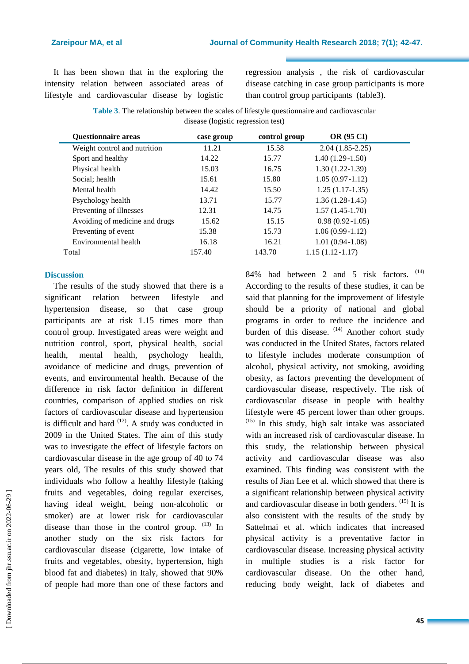It has been shown that in the exploring the intensity relation between associated areas of lifestyle and cardiovascular disease by logistic regression analysis , the risk of cardiovascular disease catching in case group participants is more than control group participants (table3).

**Table 3**. The relationship between the scales of lifestyle questionnaire and cardiovascular disease (logistic regression test)

| <b>Questionnaire areas</b>     | case group | control group | <b>OR (95 CI)</b>   |
|--------------------------------|------------|---------------|---------------------|
| Weight control and nutrition   | 11.21      | 15.58         | $2.04(1.85-2.25)$   |
| Sport and healthy              | 14.22      | 15.77         | $1.40(1.29-1.50)$   |
| Physical health                | 15.03      | 16.75         | $1.30(1.22-1.39)$   |
| Social; health                 | 15.61      | 15.80         | $1.05(0.97-1.12)$   |
| Mental health                  | 14.42      | 15.50         | $1.25(1.17-1.35)$   |
| Psychology health              | 13.71      | 15.77         | $1.36(1.28-1.45)$   |
| Preventing of illnesses        | 12.31      | 14.75         | $1.57(1.45-1.70)$   |
| Avoiding of medicine and drugs | 15.62      | 15.15         | $0.98(0.92 - 1.05)$ |
| Preventing of event            | 15.38      | 15.73         | $1.06(0.99-1.12)$   |
| Environmental health           | 16.18      | 16.21         | $1.01(0.94-1.08)$   |
| Total                          | 157.40     | 143.70        | $1.15(1.12 - 1.17)$ |

## **Discussion**

The results of the study showed that there is a significant relation between lifestyle and hypertension disease, so that case group participants are at risk 1.15 times more than control group. Investigated areas were weight and nutrition control, sport, physical health, social health, mental health, psychology health, avoidance of medicine and drugs, prevention of events, and environmental health. Because of the difference in risk factor definition in different countries, comparison of applied studies on risk factors of cardiovascular disease and hypertension is difficult and hard  $(12)$ . A study was conducted in 2009 in the United States. The aim of this study was to investigate the effect of lifestyle factors on cardiovascular disease in the age group of 40 to 74 years old, The results of this study showed that individuals who follow a healthy lifestyle (taking fruits and vegetables, doing regular exercises, having ideal weight, being non-alcoholic or smoker) are at lower risk for cardiovascular disease than those in the control group.  $(13)$  In another study on the six risk factors for cardiovascular disease (cigarette, low intake of fruits and vegetables, obesity, hypertension, high blood fat and diabetes) in Italy, showed that 90% of people had more than one of these factors and

84% had between 2 and 5 risk factors.  $(14)$ According to the results of these studies, it can be said that planning for the improvement of lifestyle should be a priority of national and global programs in order to reduce the incidence and burden of this disease. <sup>(14)</sup> Another cohort study was conducted in the United States, factors related to lifestyle includes moderate consumption of alcohol, physical activity, not smoking, avoiding obesity, as factors preventing the development of cardiovascular disease, respectively. The risk of cardiovascular disease in people with healthy lifestyle were 45 percent lower than other groups.  $(15)$  In this study, high salt intake was associated with an increased risk of cardiovascular disease. In this study, the relationship between physical activity and cardiovascular disease was also examined. This finding was consistent with the results of Jian Lee et al. which showed that there is a significant relationship between physical activity and cardiovascular disease in both genders.  $(15)$  It is also consistent with the results of the study by Sattelmai et al. which indicates that increased physical activity is a preventative factor in cardiovascular disease. Increasing physical activity in multiple studies is a risk factor for cardiovascular disease. On the other hand, reducing body weight, lack of diabetes and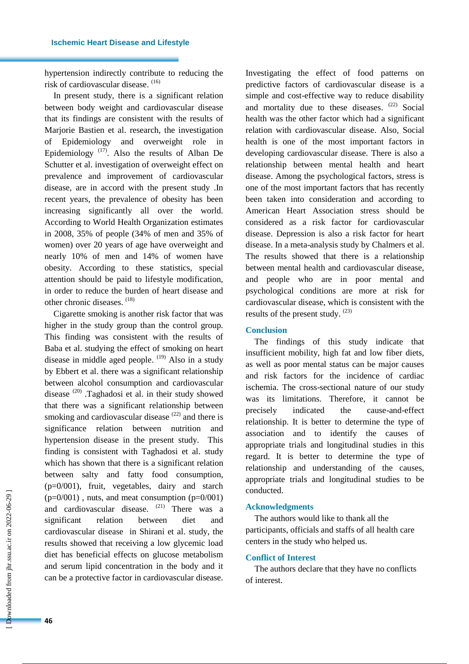hypertension indirectly contribute to reducing the risk of cardiovascular disease. (16)

In present study, there is a significant relation between body weight and cardiovascular disease that its findings are consistent with the results of Marjorie Bastien et al. research, the investigation of Epidemiology and overweight role in Epidemiology<sup> $(17)$ </sup>. Also the results of Alban De Schutter et al. investigation of overweight effect on prevalence and improvement of cardiovascular disease, are in accord with the present study .In recent years, the prevalence of obesity has been increasing significantly all over the world. According to World Health Organization estimates in 2008, 35% of people (34% of men and 35% of women) over 20 years of age have overweight and nearly 10% of men and 14% of women have obesity. According to these statistics, special attention should be paid to lifestyle modification, in order to reduce the burden of heart disease and other chronic diseases. (18)

Cigarette smoking is another risk factor that was higher in the study group than the control group. This finding was consistent with the results of Baba et al. studying the effect of smoking on heart disease in middle aged people. <sup>(19)</sup> Also in a study by Ebbert et al. there was a significant relationship between alcohol consumption and cardiovascular disease (20) .Taghadosi et al. in their study showed that there was a significant relationship between smoking and cardiovascular disease  $(22)$  and there is significance relation between nutrition and hypertension disease in the present study. This finding is consistent with Taghadosi et al. study which has shown that there is a significant relation between salty and fatty food consumption, (p=0/001), fruit, vegetables, dairy and starch  $(p=0/001)$ , nuts, and meat consumption  $(p=0/001)$ and cardiovascular disease. (21) There was a significant relation between diet and cardiovascular disease in Shirani et al. study, the results showed that receiving a low glycemic load diet has beneficial effects on glucose metabolism and serum lipid concentration in the body and it can be a protective factor in cardiovascular disease.

Investigating the effect of food patterns on predictive factors of cardiovascular disease is a simple and cost-effective way to reduce disability and mortality due to these diseases.  $(22)$  Social health was the other factor which had a significant relation with cardiovascular disease. Also, Social health is one of the most important factors in developing cardiovascular disease. There is also a relationship between mental health and heart disease. Among the psychological factors, stress is one of the most important factors that has recently been taken into consideration and according to American Heart Association stress should be considered as a risk factor for cardiovascular disease. Depression is also a risk factor for heart disease. In a meta-analysis study by Chalmers et al. The results showed that there is a relationship between mental health and cardiovascular disease, and people who are in poor mental and psychological conditions are more at risk for cardiovascular disease, which is consistent with the results of the present study.  $(23)$ 

## **Conclusion**

The findings of this study indicate that insufficient mobility, high fat and low fiber diets, as well as poor mental status can be major causes and risk factors for the incidence of cardiac ischemia. The cross-sectional nature of our study was its limitations. Therefore, it cannot be precisely indicated the cause-and-effect relationship. It is better to determine the type of association and to identify the causes of appropriate trials and longitudinal studies in this regard. It is better to determine the type of relationship and understanding of the causes, appropriate trials and longitudinal studies to be conducted.

#### **Acknowledgments**

The authors would like to thank all the participants, officials and staffs of all health care centers in the study who helped us.

#### **Conflict of Interest**

The authors declare that they have no conflicts of interest.